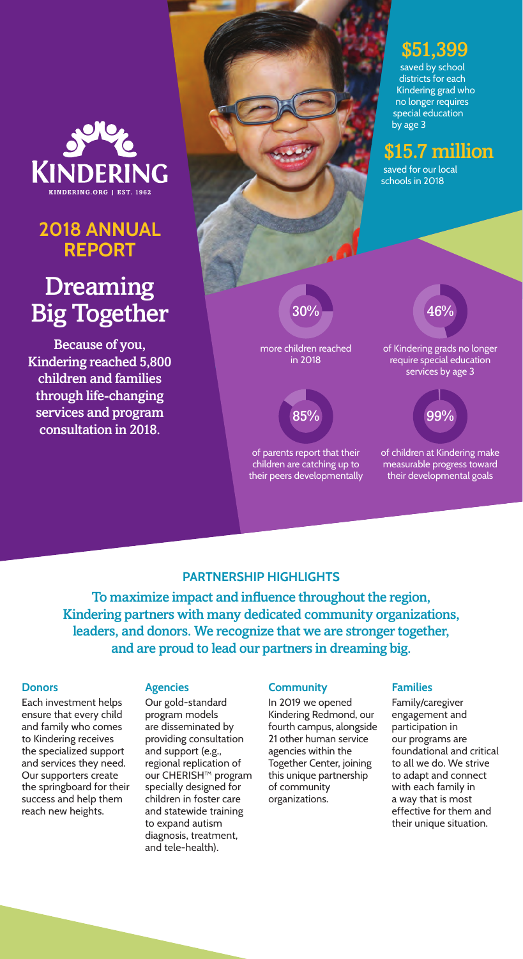

## **2018 ANNUAL REPORT**

# Dreaming Big Together

Because of you, Kindering reached 5,800 children and families through life‑changing services and program consultation in 2018.

 $30\%$   $-$  46% more children reached in 2018 \$15.7 million saved for our local schools in 2018 saved by school districts for each Kindering grad who no longer requires special education by age 3 of Kindering grads no longer

 $85%$ 

of parents report that their children are catching up to their peers developmentally

## require special education services by age 3

\$51,399



of children at Kindering make measurable progress toward their developmental goals

#### **PARTNERSHIP HIGHLIGHTS**

To maximize impact and influence throughout the region, Kindering partners with many dedicated community organizations, leaders, and donors. We recognize that we are stronger together, and are proud to lead our partners in dreaming big.

#### **Donors**

Each investment helps ensure that every child and family who comes to Kindering receives the specialized support and services they need. Our supporters create the springboard for their success and help them reach new heights.

#### **Agencies**

Our gold-standard program models are disseminated by providing consultation and support (e.g., regional replication of our CHERISH™ program specially designed for children in foster care and statewide training to expand autism diagnosis, treatment, and tele-health).

#### **Community**

In 2019 we opened Kindering Redmond, our fourth campus, alongside 21 other human service agencies within the Together Center, joining this unique partnership of community organizations.

#### **Families**

Family/caregiver engagement and participation in our programs are foundational and critical to all we do. We strive to adapt and connect with each family in a way that is most effective for them and their unique situation.